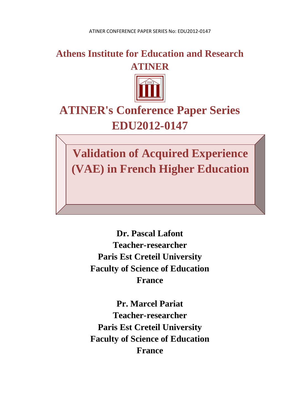### **Athens Institute for Education and Research ATINER**



# **ATINER's Conference Paper Series EDU2012-0147**

**Validation of Acquired Experience (VAE) in French Higher Education**

> **Dr. Pascal Lafont Teacher-researcher Paris Est Creteil University Faculty of Science of Education France**

> **Pr. Marcel Pariat Teacher-researcher Paris Est Creteil University Faculty of Science of Education France**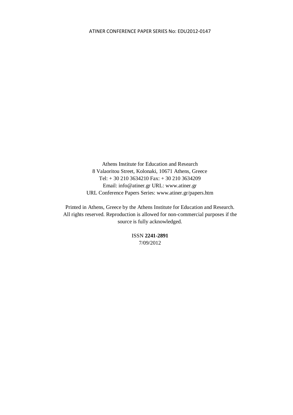Athens Institute for Education and Research 8 Valaoritou Street, Kolonaki, 10671 Athens, Greece Tel: + 30 210 3634210 Fax: + 30 210 3634209 Email: info@atiner.gr URL: www.atiner.gr URL Conference Papers Series: www.atiner.gr/papers.htm

Printed in Athens, Greece by the Athens Institute for Education and Research. All rights reserved. Reproduction is allowed for non-commercial purposes if the source is fully acknowledged.

> ISSN **2241-2891** 7/09/2012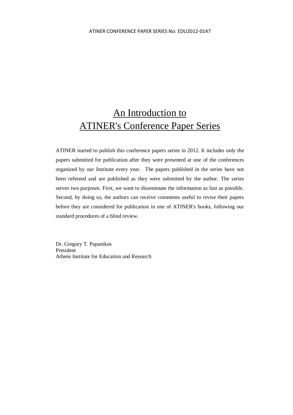## An Introduction to ATINER's Conference Paper Series

ATINER started to publish this conference papers series in 2012. It includes only the papers submitted for publication after they were presented at one of the conferences organized by our Institute every year. The papers published in the series have not been refereed and are published as they were submitted by the author. The series serves two purposes. First, we want to disseminate the information as fast as possible. Second, by doing so, the authors can receive comments useful to revise their papers before they are considered for publication in one of ATINER's books, following our standard procedures of a blind review.

Dr. Gregory T. Papanikos President Athens Institute for Education and Research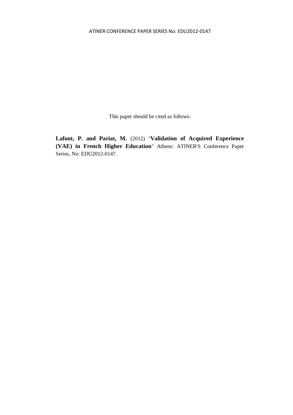This paper should be cited as follows:

**Lafont, P. and Pariat, M.** (2012) "**Validation of Acquired Experience (VAE) in French Higher Education**" Athens: ATINER'S Conference Paper Series, No: EDU2012-0147.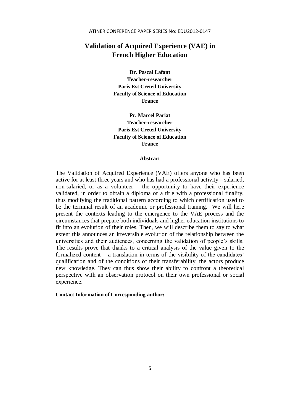### **Validation of Acquired Experience (VAE) in French Higher Education**

**Dr. Pascal Lafont Teacher-researcher Paris Est Creteil University Faculty of Science of Education France**

**Pr. Marcel Pariat Teacher-researcher Paris Est Creteil University Faculty of Science of Education France**

#### **Abstract**

The Validation of Acquired Experience (VAE) offers anyone who has been active for at least three years and who has had a professional activity – salaried, non-salaried, or as a volunteer – the opportunity to have their experience validated, in order to obtain a diploma or a title with a professional finality, thus modifying the traditional pattern according to which certification used to be the terminal result of an academic or professional training. We will here present the contexts leading to the emergence to the VAE process and the circumstances that prepare both individuals and higher education institutions to fit into an evolution of their roles. Then, we will describe them to say to what extent this announces an irreversible evolution of the relationship between the universities and their audiences, concerning the validation of people's skills. The results prove that thanks to a critical analysis of the value given to the formalized content – a translation in terms of the visibility of the candidates' qualification and of the conditions of their transferability, the actors produce new knowledge. They can thus show their ability to confront a theoretical perspective with an observation protocol on their own professional or social experience.

#### **Contact Information of Corresponding author:**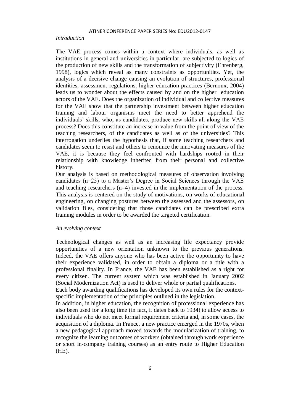#### *Introduction*

The VAE process comes within a context where individuals, as well as institutions in general and universities in particular, are subjected to logics of the production of new skills and the transformation of subjectivity (Ehrenberg, 1998), logics which reveal as many constraints as opportunities. Yet, the analysis of a decisive change causing an evolution of structures, professional identities, assessment regulations, higher education practices (Bernoux, 2004) leads us to wonder about the effects caused by and on the higher education actors of the VAE. Does the organization of individual and collective measures for the VAE show that the partnership investment between higher education training and labour organisms meet the need to better apprehend the individuals' skills, who, as candidates, produce new skills all along the VAE process? Does this constitute an increase in value from the point of view of the teaching researchers, of the candidates as well as of the universities? This interrogation underlies the hypothesis that, if some teaching researchers and candidates seem to resist and others to renounce the innovating measures of the VAE, it is because they feel confronted with hardships rooted in their relationship with knowledge inherited from their personal and collective history.

Our analysis is based on methodological measures of observation involving candidates (n=25) to a Master's Degree in Social Sciences through the VAE and teaching researchers (n=4) invested in the implementation of the process. This analysis is centered on the study of motivations, on works of educational engineering, on changing postures between the assessed and the assessors, on validation files, considering that those candidates can be prescribed extra training modules in order to be awarded the targeted certification.

#### *An evolving context*

Technological changes as well as an increasing life expectancy provide opportunities of a new orientation unknown to the previous generations. Indeed, the VAE offers anyone who has been active the opportunity to have their experience validated, in order to obtain a diploma or a title with a professional finality. In France, the VAE has been established as a right for every citizen. The current system which was established in January 2002 (Social Modernization Act) is used to deliver whole or partial qualifications.

Each body awarding qualifications has developed its own rules for the contextspecific implementation of the principles outlined in the legislation.

In addition, in higher education, the recognition of professional experience has also been used for a long time (in fact, it dates back to 1934) to allow access to individuals who do not meet formal requirement criteria and, in some cases, the acquisition of a diploma. In France, a new practice emerged in the 1970s, when a new pedagogical approach moved towards the modularization of training, to recognize the learning outcomes of workers (obtained through work experience or short in-company training courses) as an entry route to Higher Education (HE).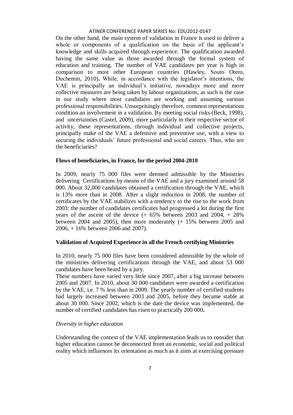On the other hand, the main system of validation in France is used to deliver a whole or components of a qualification on the basis of the applicant's knowledge and skills acquired through experience. The qualification awarded having the same value as those awarded through the formal system of education and training. The number of VAE candidates per year is high in comparison to most other European countries (Hawley, Souto Otero, Duchemin, 2010)**.** While, in accordance with the legislator's intentions, the VAE is principally an individual's initiative, nowadays more and more collective measures are being taken by labour organizations, as such is the case in our study where most candidates are working and assuming various professional responsibilities. Unsurprisingly therefore, common representations condition an involvement in a validation. By meeting social risks (Beck, 1998), and uncertainties (Castel, 2009), more particularly in their respective sector of activity, these representations, through individual and collective projects, principally make of the VAE a defensive and preventive use, with a view to securing the individuals' future professional and social careers. Thus, who are the beneficiaries?

#### **Flows of beneficiaries, in France, for the period 2004-2010**

In 2009, nearly 75 000 files were deemed admissible by the Ministries delivering Certifications by means of the VAE and a jury examined around 58 000. About 32,000 candidates obtained a certification through the VAE, which is 13% more than in 2008. After a slight reduction in 2008, the number of certificates by the VAE stabilizes with a tendency to the rise to the work from 2003: the number of candidates certificates had progressed a lot during the first years of the ascent of the device  $(+ 65\%$  between 2003 and 2004,  $+ 28\%$ between 2004 and 2005), then more moderately (+ 15% between 2005 and 2006, + 16% between 2006 and 2007).

#### **Validation of Acquired Experience in all the French certifying Ministries**

In 2010, nearly 75 000 files have been considered admissible by the whole of the ministries delivering certifications through the VAE, and about 53 000 candidates have been heard by a jury.

These numbers have varied very little since 2007, after a big increase between 2005 and 2007. In 2010, about 30 000 candidates were awarded a certification by the VAE, i.e. 7 % less than in 2009. The yearly number of certified students had largely increased between 2003 and 2005, before they became stable at about 30 000. Since 2002, which is the date the device was implemented, the number of certified candidates has risen to practically 200 000**.** 

#### *Diversity in higher education*

Understanding the context of the VAE implementation leads us to consider that higher education cannot be deconnected from an economic, social and political reality which influences its orientation as much as it aims at exercising pressure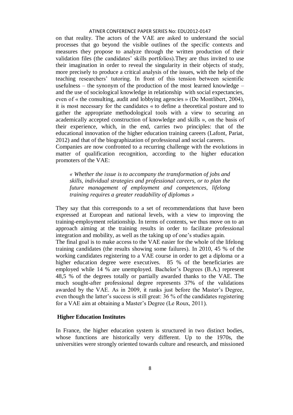on that reality. The actors of the VAE are asked to understand the social processes that go beyond the visible outlines of the specific contexts and measures they propose to analyze through the written production of their validation files (the candidates' skills portfolios).They are thus invited to use their imagination in order to reveal the singularity in their objects of study, more precisely to produce a critical analysis of the issues, with the help of the teaching researchers' tutoring. In front of this tension between scientific usefulness – the synonym of the production of the most learned knowledge – and the use of sociological knowledge in relationship with social expectancies, even of « the consulting, audit and lobbying agencies » (De Montlibert, 2004), it is most necessary for the candidates « to define a theoretical posture and to gather the appropriate methodological tools with a view to securing an academically accepted construction of knowledge and skills », on the basis of their experience, which, in the end, carries two principles: that of the educational innovation of the higher education training careers (Lafont, Pariat, 2012) and that of the biographization of professional and social careers.

Companies are now confronted to a recurring challenge with the evolutions in matter of qualification recognition, according to the higher education promoters of the VAE:

*« Whether the issue is to accompany the transformation of jobs and skills, individual strategies and professional careers, or to plan the future management of employment and competences, lifelong training requires a greater readability of diplomas »*

They say that this corresponds to a set of recommendations that have been expressed at European and national levels, with a view to improving the training-employment relationship. In terms of contents, we thus move on to an approach aiming at the training results in order to facilitate professional integration and mobility, as well as the taking up of one's studies again.

The final goal is to make access to the VAE easier for the whole of the lifelong training candidates (the results showing some failures). In 2010, 45 % of the working candidates registering to a VAE course in order to get a diploma or a higher education degree were executives. 85 % of the beneficiaries are employed while 14 % are unemployed. Bachelor's Degrees (B.A.) represent 48,5 % of the degrees totally or partially awarded thanks to the VAE. The much sought-after professional degree represents 37% of the validations awarded by the VAE. As in 2009, it ranks just before the Master's Degree, even though the latter's success is still great: 36 % of the candidates registering for a VAE aim at obtaining a Master's Degree (Le Roux, 2011).

#### **Higher Education Institutes**

In France, the higher education system is structured in two distinct bodies, whose functions are historically very different. Up to the 1970s, the universities were strongly oriented towards culture and research, and missioned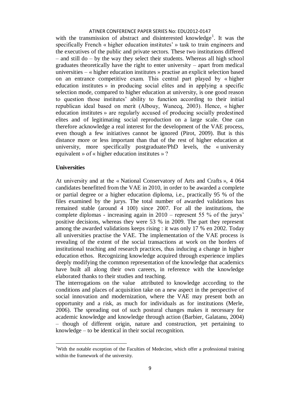with the transmission of abstract and disinterested knowledge<sup>1</sup>. It was the specifically French « higher education institutes' » task to train engineers and the executives of the public and private sectors. These two institutions differed – and still do – by the way they select their students. Whereas all high school graduates theoretically have the right to enter university – apart from medical universities – « higher education institutes » practise an explicit selection based on an entrance competitive exam. This central part played by « higher education institutes » in producing social elites and in applying a specific selection mode, compared to higher education at university, is one good reason to question those institutes' ability to function according to their initial republican ideal based on merit (Albouy, Wanecq, 2003). Hence, « higher education institutes » are regularly accused of producing socially predestined elites and of legitimating social reproduction on a large scale. One can therefore acknowledge a real interest for the development of the VAE process, even though a few initiatives cannot be ignored (Pirot, 2009). But is this distance more or less important than that of the rest of higher education at university, more specifically postgraduate/PhD levels, the « university equivalent » of « higher education institutes » ?

#### **Universities**

**.** 

At university and at the « National Conservatory of Arts and Crafts », 4 064 candidates benefitted from the VAE in 2010, in order to be awarded a complete or partial degree or a higher education diploma, i.e., practically 95 % of the files examined by the jurys. The total number of awarded validations has remained stable (around 4 100) since 2007. For all the institutions, the complete diplomas - increasing again in 2010 – represent 55 % of the jurys' positive decisions, whereas they were 53 % in 2009. The part they represent among the awarded validations keeps rising : it was only 17 % en 2002. Today all universities practise the VAE. The implementation of the VAE process is revealing of the extent of the social transactions at work on the borders of institutional teaching and research practices, thus inducing a change in higher education ethos. Recognizing knowledge acquired through experience implies deeply modifying the common representation of the knowledge that academics have built all along their own careers, in reference with the knowledge elaborated thanks to their studies and teaching.

The interrogations on the value attributed to knowledge according to the conditions and places of acquisition take on a new aspect in the perspective of social innovation and modernization, where the VAE may present both an opportunity and a risk, as much for individuals as for institutions (Merle, 2006). The spreading out of such postural changes makes it necessary for academic knowledge and knowledge through action (Barbier, Galatanu, 2004) – though of different origin, nature and construction, yet pertaining to knowledge – to be identical in their social recognition.

<sup>&</sup>lt;sup>1</sup>With the notable exception of the Faculties of Medecine, which offer a professional training within the framework of the university.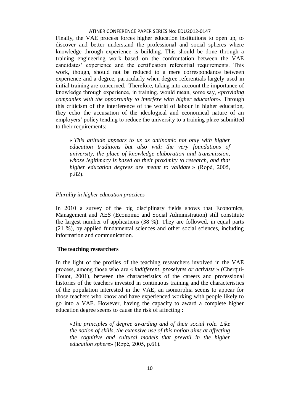Finally, the VAE process forces higher education institutions to open up, to discover and better understand the professional and social spheres where knowledge through experience is building. This should be done through a training engineering work based on the confrontation between the VAE candidates' experience and the certification referential requirements. This work, though, should not be reduced to a mere correspondance between experience and a degree, particularly when degree referentials largely used in initial training are concerned. Therefore, taking into account the importance of knowledge through experience, in training, would mean, some say, «*providing companies with the opportunity to interfere with higher education*». Through this criticism of the interference of the world of labour in higher education, they echo the accusation of the ideological and economical nature of an employers' policy tending to reduce the university to a training place submitted to their requirements:

« *This attitude appears to us as antinomic not only with higher education traditions but also with the very foundations of university, the place of knowledge elaboration and transmission, whose legitimacy is based on their proximity to research, and that higher education degrees are meant to validate* » (Ropé, 2005, p.82).

#### *Plurality in higher education practices*

In 2010 a survey of the big disciplinary fields shows that Economics, Management and AES (Economic and Social Administration) still constitute the largest number of applications (38 %). They are followed, in equal parts (21 %), by applied fundamental sciences and other social sciences, including information and communication.

#### **The teaching researchers**

In the light of the profiles of the teaching researchers involved in the VAE process, among those who are « *indifferent, proselytes or activists* » (Cherqui-Houot, 2001), between the characteristics of the careers and professional histories of the teachers invested in continuous training and the characteristics of the population interested in the VAE, an isomorphia seems to appear for those teachers who know and have experienced working with people likely to go into a VAE. However, having the capacity to award a complete higher education degree seems to cause the risk of affecting :

«*The principles of degree awarding and of their social role. Like the notion of skills, the extensive use of this notion aims at affecting the cognitive and cultural models that prevail in the higher education sphere*» (Ropé, 2005, p.61).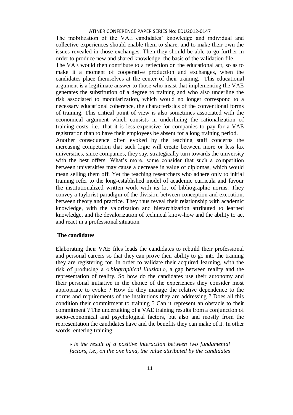The mobilization of the VAE candidates' knowledge and individual and collective experiences should enable them to share, and to make their own the issues revealed in those exchanges. Then they should be able to go further in order to produce new and shared knowledge, the basis of the validation file.

The VAE would then contribute to a reflection on the educational act, so as to make it a moment of cooperative production and exchanges, when the candidates place themselves at the center of their training. This educational argument is a legitimate answer to those who insist that implementing the VAE generates the substitution of a degree to training and who also underline the risk associated to modularization, which would no longer correspond to a necessary educational coherence, the characteristics of the conventional forms of training. This critical point of view is also sometimes associated with the economical argument which consists in underlining the rationalization of training costs, i.e., that it is less expensive for companies to pay for a VAE registration than to have their employees be absent for a long training period. Another consequence often evoked by the teaching staff concerns the increasing competition that such logic will create between more or less lax

universities, since companies, they say, strategically turn towards the university with the best offers. What's more, some consider that such a competition between universities may cause a decrease in value of diplomas, which would mean selling them off. Yet the teaching researchers who adhere only to initial training refer to the long-established model of academic curricula and favour the institutionalized written work with its lot of bibliographic norms. They convey a taylorist paradigm of the division between conception and execution, between theory and practice. They thus reveal their relationship with academic knowledge, with the valorization and hierarchization attributed to learned knowledge, and the devalorization of technical know-how and the ability to act and react in a professional situation.

#### **The candidates**

Elaborating their VAE files leads the candidates to rebuild their professional and personal careers so that they can prove their ability to go into the training they are registering for, in order to validate their acquired learning, with the risk of producing a « *biographical illusion* », a gap between reality and the representation of reality. So how do the candidates use their autonomy and their personal initiative in the choice of the experiences they consider most appropriate to evoke ? How do they manage the relative dependence to the norms and requirements of the institutions they are addressing ? Does all this condition their commitment to training ? Can it represent an obstacle to their commitment ? The undertaking of a VAE training results from a conjunction of socio-economical and psychological factors, but also and mostly from the representation the candidates have and the benefits they can make of it. In other words, entering training:

« *is the result of a positive interaction between two fundamental factors, i.e., on the one hand, the value attributed by the candidates*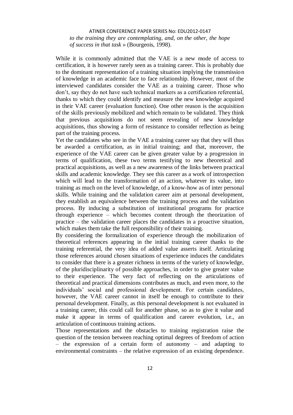ATINER CONFERENCE PAPER SERIES No: EDU2012-0147 *to the training they are contemplating, and, on the other, the hope of success in that task* » (Bourgeois, 1998).

While it is commonly admitted that the VAE is a new mode of access to certification, it is however rarely seen as a training career. This is probably due to the dominant representation of a training situation implying the transmission of knowledge in an academic face to face relationship. However, most of the interviewed candidates consider the VAE as a training career. Those who don't, say they do not have such technical markers as a certification referential, thanks to which they could identify and measure the new knowledge acquired in their VAE career (evaluation function). One other reason is the acquisition of the skills previously mobilized and which remain to be validated. They think that previous acquisitions do not seem revealing of new knowledge acquisitions, thus showing a form of resistance to consider reflection as being part of the training process.

Yet the candidates who see in the VAE a training career say that they will thus be awarded a certification, as in initial training; and that, moreover, the experience of the VAE career can be given greater value by a progression in terms of qualification, these two terms testifying to new theoretical and practical acquisitions, as well as a new awareness of the links between practical skills and academic knowledge. They see this career as a work of introspection which will lead to the transformation of an action, whatever its value, into training as much on the level of knowledge, of a know-how as of inter personal skills. While training and the validation career aim at personal development, they establish an equivalence between the training process and the validation process. By inducing a substitution of institutional programs for practice through experience – which becomes content through the theorization of practice – the validation career places the candidates in a proactive situation, which makes them take the full responsibility of their training.

By considering the formalization of experience through the mobilization of theoretical references appearing in the initial training career thanks to the training referential, the very idea of added value asserts itself. Articulating those references around chosen situations of experience induces the candidates to consider that there is a greater richness in terms of the variety of knowledge, of the pluridisciplinarity of possible approaches, in order to give greater value to their experience. The very fact of reflecting on the articulations of theoretical and practical dimensions contributes as much, and even more, to the individuals' social and professional development. For certain candidates, however, the VAE career cannot in itself be enough to contribute to their personal development. Finally, as this personal development is not evaluated in a training career, this could call for another phase, so as to give it value and make it appear in terms of qualification and career evolution, i.e., an articulation of continuous training actions.

Those representations and the obstacles to training registration raise the question of the tension between reaching optimal degrees of freedom of action – the expression of a certain form of autonomy – and adapting to environmental constraints – the relative expression of an existing dependence.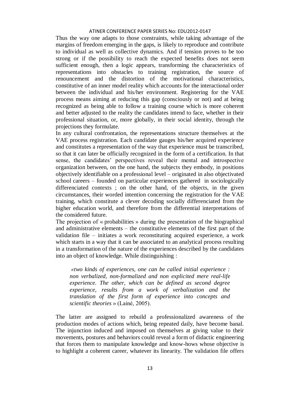Thus the way one adapts to those constraints, while taking advantage of the margins of freedom emerging in the gaps, is likely to reproduce and contribute to individual as well as collective dynamics. And if tension proves to be too strong or if the possibility to reach the expected benefits does not seem sufficient enough, then a logic appears, transforming the characteristics of representations into obstacles to training registration, the source of renouncement and the distortion of the motivational characteristics, constitutive of an inner model reality which accounts for the interactional order between the individual and his/her environment. Registering for the VAE process means aiming at reducing this gap (consciously or not) and at being recognized as being able to follow a training course which is more coherent and better adjusted to the reality the candidates intend to face, whether in their professional situation, or, more globally, in their social identity, through the projections they formulate.

In any cultural confrontation, the representations structure themselves at the VAE process registration. Each candidate gauges his/her acquired experience and constitutes a representation of the way that experience must be transcribed, so that it can later be officially recognized in the form of a certification. In that sense, the candidates' perspectives reveal their mental and introspective organization between, on the one hand, the subjects they embody, in positions objectively identifiable on a professional level – originated in also objectivated school careers – founded on particular experiences gathered in sociologically differenciated contexts ; on the other hand, of the objects, in the given circumstances, their worded intention concerning the registration for the VAE training, which constitute a clever decoding socially differenciated from the higher education world, and therefore from the differential interpretations of the considered future.

The projection of « probabilities » during the presentation of the biographical and administrative elements – the constitutive elements of the first part of the validation file – initiates a work reconstituting acquired experience, a work which starts in a way that it can be associated to an analytical process resulting in a transformation of the nature of the experiences described by the candidates into an object of knowledge. While distinguishing :

*«two kinds of experiences, one can be called initial experience : non verbalized, non-formalized and non explicited mere real-life experience. The other, which can be defined as second degree experience, results from a work of verbalization and the translation of the first form of experience into concepts and scientific theories* » (Lainé, 2005).

The latter are assigned to rebuild a professionalized awareness of the production modes of actions which, being repeated daily, have become banal. The injunction induced and imposed on themselves at giving value to their movements, postures and behaviors could reveal a form of didactic engineering that forces them to manipulate knowledge and know-hows whose objective is to highlight a coherent career, whatever its linearity. The validation file offers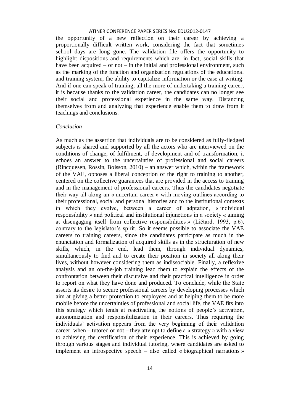the opportunity of a new reflection on their career by achieving a proportionally difficult written work, considering the fact that sometimes school days are long gone. The validation file offers the opportunity to highlight dispositions and requirements which are, in fact, social skills that have been acquired – or not – in the initial and professional environment, such as the marking of the function and organization regulations of the educational and training system, the ability to capitalize information or the ease at writing. And if one can speak of training, all the more of undertaking a training career, it is because thanks to the validation career, the candidates can no longer see their social and professional experience in the same way. Distancing themselves from and analyzing that experience enable them to draw from it teachings and conclusions.

#### *Conclusion*

As much as the assertion that individuals are to be considered as fully-fledged subjects is shared and supported by all the actors who are interviewed on the conditions of change, of fulfilment, of development and of transformation, it echoes an answer to the uncertainties of professional and social careers (Rincquesen, Rossin, Boisson, 2010) – an answer which, within the framework of the VAE, opposes a liberal conception of the right to training to another, centered on the collective guarantees that are provided in the access to training and in the management of professional careers. Thus the candidates negotiate their way all along an « uncertain career » with moving outlines according to their professional, social and personal histories and to the institutional contexts in which they evolve, between a career of adptation, « individual responsibility » and political and institutional injunctions in a society « aiming at disengaging itself from collective responsibilities » (Liétard, 1993, p.6), contrary to the legislator's spirit. So it seems possible to associate the VAE careers to training careers, since the candidates participate as much in the enunciation and formalization of acquired skills as in the structuration of new skills, which, in the end, lead them, through individual dynamics, simultaneously to find and to create their position in society all along their lives, without however considering them as indissociable. Finally, a reflexive analysis and an on-the-job training lead them to explain the effects of the confrontation between their discursive and their practical intelligence in order to report on what they have done and produced. To conclude, while the State asserts its desire to secure professional careers by developing processes which aim at giving a better protection to employees and at helping them to be more mobile before the uncertainties of professional and social life, the VAE fits into this strategy which tends at reactivating the notions of people's activation, autonomization and responsibilization in their careers. Thus requiring the individuals' activation appears from the very beginning of their validation career, when – tutored or not – they attempt to define a « strategy » with a view to achieving the certification of their experience. This is achieved by going through various stages and individual tutoring, where candidates are asked to implement an introspective speech – also called « biographical narrations »